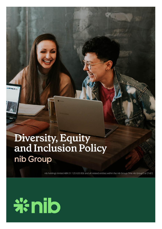# Diversity, Equity<br>and Inclusion Policy nib Group

nib holdings limited ABN 51 125 633 856 and all related entities within the nib Group ("the nib Group") or ("nib")

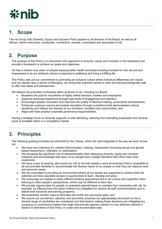## **Anib**

## **1. Scope**

The nib Group (nib) Diversity, Equity and Inclusion Policy applies to all directors of the Board, as well as all officers, senior executives, employees, contractors, casuals, consultants and associates of nib.

## **2. Purpose**

The purpose of this Policy is to document nib's approach to diversity, equity and inclusion in the workplace and provide a framework to achieve our goals and objectives.

nib has a mission and vision of people enjoying better health and believe feeling included for who we are and empowered to be our authentic selves is essential to wellbeing and living a fulfilling life.

This Policy sets out our commitment to promoting an inclusive culture where individual differences are valued and our people have a sense of belonging, can bring their authentic selves to work and feel psychologically safe to offer new ideas and perspectives.

We believe the promotion of diversity within all levels of nib, including our Board:

- Broadens the pool for recruitment of highly skilled directors, leaders and employees;
- Supports employee experience through high levels of engagement and retention;
- Encourages greater innovation and improves the quality of decision-making, productivity and teamwork;
- Enhances customer service and market reputation through a workforce that demonstrates cultural sensitivity and reflects the diversity of our members, travellers and communities; and
- Aligns with best practice corporate governance responsibilities.

Having a strategic focus on diversity supports us with attracting, retaining and motivating employees from diverse pools of available talent in a competitive market.

## **3. Principles**

The following guiding principles are informed by Our Values, which are well integrated in the way we work across nib:

- We have zero tolerance for unlawful discrimination, bullying, harassment (including sexual and gender based harassment), vilification or victimisation;
- We recognise the significant role of intersectionality when deploying diversity, equity and inclusion initiatives and acknowledge that many of our people have multiple identities that inform their lived experience;
- We have a way of working, also known as Life at nib that creates a work environment that is accessible to all and provides flexibility to accommodate the diverse needs of our people so that they can balance work and personal needs;
- We are committed to providing an environment where all our people are supported to achieve their full potential and have equitable access to opportunities to learn, develop and grow;
- We encourage our people to share different thinking approaches and to be curious and respectful when listening to other people's perspectives, which may be different to their own;
- We provide opportunities for people on extended parental leave to maintain their connection with nib, for example, by offering them the option (without any obligation) to receive all-staff communications and to attend work functions and training programs;
- We proactively monitor ways to eliminate and rectify any pay equity gaps; and
- We ensure our recruitment, selection and promotion practices are appropriately structured so that a diverse range of candidates are considered and that leaders making these decisions are mitigating any conscious or unconscious biases that might discriminate against a person on any attribute outlined in Section 9 Definitions of this Policy or under anti-discrimination laws.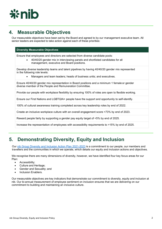## i<del>:</del> nib

## **4. Measurable Objectives**

Our measurable objectives have been set by the Board and agreed to by our management executive team. All senior leaders are expected to take action against each of these priorities:

#### **Diversity Measurable Objectives**

Ensure that employees and directors are selected from diverse candidate pools:

• 40/40/20 gender mix in interviewing panels and shortlisted candidates for all management, executive and Board positions.

Develop diverse leadership teams and talent pipelines by having 40/40/20 gender mix represented in the following role levels:

Managers and team leaders; heads of business units; and executives.

Ensure 40/40/20 gender mix representation in Board positions and a minimum 1 female or gender diverse member of the People and Remuneration Committee.

Provide our people with workplace flexibility by ensuring 100% of roles are open to flexible working.

Ensure our First Nations and LGBTQIA+ people have the support and opportunity to self-identify.

100% of cultural awareness training completed across key leadership roles by end of 2022.

Create an inclusive workplace culture with an overall engagement score >73% by end of 2023.

Reward people fairly by supporting a gender pay equity target of <5% by end of 2025.

Increase the representation of employees with accessibility requirements to >15% by end of 2025.

## **5. Demonstrating Diversity, Equity and Inclusion**

Our [nib Group Diversity and Inclusion Action Plan 2021-2023](https://www.nib.com.au/docs/diversity-and-inclusion-action-plan-2021) is a commitment to our people, our members and travellers and the communities in which we operate, which details our equity and inclusion actions and objectives.

We recognise there are many dimensions of diversity, however, we have identified four key focus areas for our Plan:

- Accessibility;
- Culture and Heritage;
- Gender and Sexuality; and
- Inclusion Enablers.

Our measurable objectives are key indicators that demonstrate our commitment to diversity, equity and inclusion at nib. Our bi-annual measurement of employee sentiment on inclusion ensures that we are delivering on our commitment to building and maintaining an inclusive culture.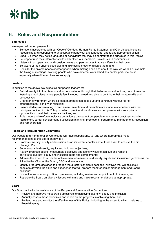

## **6. Roles and Responsibilities**

#### **Employees**

We expect all our employees to:

- Behave in accordance with our Code of Conduct, Human Rights Statement and Our Values, including recognising and responding to unacceptable behaviour and language, and taking appropriate action;
- Speak up when they notice language or behaviours that may be contrary to the principles in this Policy;
- Be respectful in their interactions with each other, our members, travellers and communities;
- Listen with an open mind and consider views and perspectives that are different to their own;
- Be aware of their unconscious bias and take active steps to mitigate them; and
- Consider the diverse needs of other people when making decisions about the way we work. For example, the timing of meetings involving people who have different work schedules and/or part-time hours, especially when different time zones apply.

### **Leaders**

In addition to the above, we expect all our people leaders to:

- Build diversity into their teams and to demonstrate, through their behaviours and actions, commitment to fostering a workplace where people feel included, valued and able to contribute their unique skills and perspectives;
- Create an environment where all team members can speak up and contribute without fear of embarrassment, penalty or rejection;
- Ensure all decisions relating to recruitment, selection and promotion are made in accordance with the principles outlined in this Policy in order to provide all candidates and employees with an equitable opportunity to meet their career aspirations; and
- Role model and reinforce inclusive behaviours throughout our people management practices including recruitment, career development, succession planning, promotions, performance management, recognition, and remuneration.

#### **People and Remuneration Committee**

Our People and Remuneration Committee will have responsibility to (and where appropriate make recommendations to the Board on how to):

- Promote diversity, equity and inclusion as an important enabler and cultural asset to achieve the nib Strategic Plan:
- Set measurable diversity, equity and inclusion objectives;
- Review progress against measurable objectives and identify ways to achieve and remove barriers to diversity, equity and inclusion goals and commitments;
- Address the extent to which the achievement of measurable diversity, equity and inclusion objectives will be linked to the KPIs for the Board, CEO and executives;
- Identify programs designed to broaden the director candidate pool and initiatives that will assist our people to develop the skills and experience that will prepare them for senior management and Board positions;
- Commit to transparency of Board processes, including review and appointment of directors; and
- Report to the Board on diversity issues within nib and make recommendations as appropriate.

#### **Board**

Our Board will, with the assistance of the People and Remuneration Committee:

- Review and approve measurable objectives for achieving diversity, equity and inclusion;
- Annually assess these objectives and report on the progress in achieving them; and
- Review, note and monitor the effectiveness of this Policy, including to the extent to which it relates to Board diversity.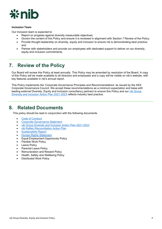

### **Inclusion Team**

Our Inclusion team is expected to:

- Report on progress against diversity measurable objectives;
- Govern the content of this Policy and ensure it is reviewed in alignment with Section 7 Review of the Policy;
- Provide thought leadership on diversity, equity and inclusion to ensure nib is demonstrating best practice; and
- Partner with stakeholders and provide our employees with dedicated support to deliver on our diversity, equity and inclusion commitments.

## **7. Review of the Policy**

Our Board will review this Policy at least annually. This Policy may be amended by resolution of the Board. A copy of this Policy will be made available to all directors and employees and a copy will be visible on nib's website, with key features available in nib's annual report.

This Policy implements the 'Corporate Governance Principles and Recommendations' as issued by the ASX Corporate Governance Council. We accept these recommendations as a minimum expectation and liaise with leading external Diversity, Equity and Inclusion consultancy partners to ensure this Policy and our [nib Group](https://www.nib.com.au/docs/diversity-and-inclusion-action-plan-2021) Diversity and Inclusion Action Plan [2021-2023](https://www.nib.com.au/docs/diversity-and-inclusion-action-plan-2021) reflects industry best practice.

## **8. Related Documents**

This policy should be read in conjunction with the following documents:

- Code of [Conduct](https://www.nib.com.au/shareholders/company-profile/corporate-governance)
- **Corporate [Governance](https://www.nib.com.au/shareholders/company-profile/corporate-governance) Statement**
- nib Group Diversity and Inclusion Action Plan [2021-2023](https://www.nib.com.au/docs/diversity-and-inclusion-action-plan-2021)
- nib Reflect [Reconciliation](https://www.nib.com.au/docs/reconciliation-action-plan) Action Plan
- **[Sustainability](https://www.nib.com.au/shareholders/company-profile/sustainability) Report**
- Human Rights [Statement](https://www.nib.com.au/docs/human-rights-statement#%3A%7E%3Atext%3Dnib%20believes%20that%20we%20have%2CUniversal%20Declaration%20of%20Human%20Rights)
- Equal Employment Opportunity Policy
- Flexible Work Policy
- **Leave Policy**
- Parental Leave Policy
- Remuneration and Reward Policy
- Health, Safety and Wellbeing Policy
- **Distributed Work Policy**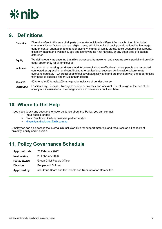

## **9. Definitions**

| <b>Diversity</b> | Diversity refers to the sum of all parts that make individuals different from each other. It includes<br>characteristics or factors such as religion, race, ethnicity, cultural background, nationality, language,<br>gender, sexual orientation and gender diversity, marital or family status, socio-economic background,<br>disability, health and wellbeing, age and identifying as First Nations, or any other area of potential<br>difference. |
|------------------|------------------------------------------------------------------------------------------------------------------------------------------------------------------------------------------------------------------------------------------------------------------------------------------------------------------------------------------------------------------------------------------------------------------------------------------------------|
| <b>Equity</b>    | We define equity as ensuring that nib's processes, frameworks, and systems are impartial and provide<br>equal opportunity for all employees.                                                                                                                                                                                                                                                                                                         |
| <b>Inclusion</b> | Inclusion is harnessing our diverse workforce to collaborate effectively, where people are respected,<br>connected, progressing, and contributing to organisational success. An inclusive culture treats<br>everyone equitably – where all people feel psychologically safe and are provided with the opportunities<br>they need to succeed and thrive in their careers.                                                                             |
| 40/40/20         | 40% female/40% male/20% any gender inclusive of gender diverse.                                                                                                                                                                                                                                                                                                                                                                                      |
| LGBTQIA+         | Lesbian, Gay, Bisexual, Transgender, Queer, Intersex and Asexual. The plus sign at the end of the<br>acronym is inclusive of all diverse genders and sexualities not listed here.                                                                                                                                                                                                                                                                    |

## **10. Where to Get Help**

If you need to ask any questions or seek guidance about this Policy, you can contact:

- Your people leader;
- Your People and Culture business partner; and/or
- [diversityandinclusion@nib.com.au](mailto:diversityandinclusion@nib.com.au)

Employees can also access the internal nib Inclusion Hub for support materials and resources on all aspects of diversity, equity and inclusion.

### **11. Policy Governance Schedule**

| <b>Approval date</b> | 25 February 2022                                          |
|----------------------|-----------------------------------------------------------|
| <b>Next review</b>   | 25 February 2023                                          |
| <b>Policy Owner</b>  | Group Chief People Officer                                |
| <b>Division</b>      | People and Culture                                        |
| Approved by          | nib Group Board and the People and Remuneration Committee |